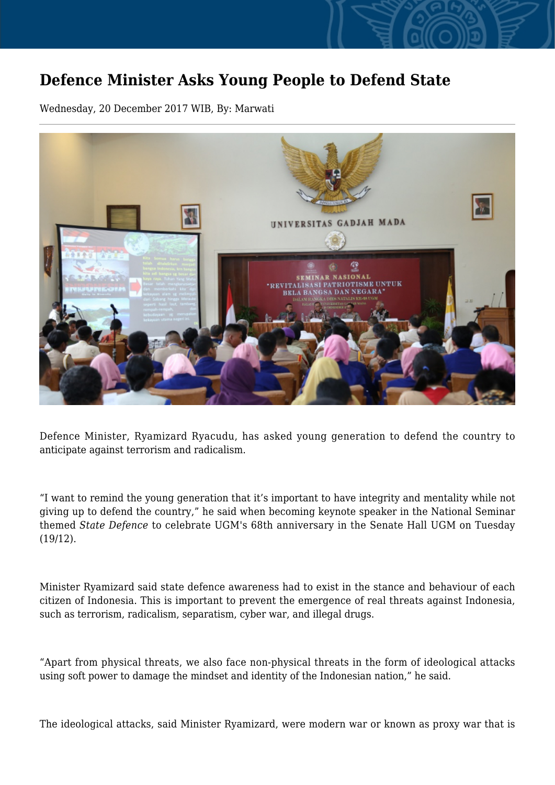## **Defence Minister Asks Young People to Defend State**

Wednesday, 20 December 2017 WIB, By: Marwati



Defence Minister, Ryamizard Ryacudu, has asked young generation to defend the country to anticipate against terrorism and radicalism.

"I want to remind the young generation that it's important to have integrity and mentality while not giving up to defend the country," he said when becoming keynote speaker in the National Seminar themed *State Defence* to celebrate UGM's 68th anniversary in the Senate Hall UGM on Tuesday (19/12).

Minister Ryamizard said state defence awareness had to exist in the stance and behaviour of each citizen of Indonesia. This is important to prevent the emergence of real threats against Indonesia, such as terrorism, radicalism, separatism, cyber war, and illegal drugs.

"Apart from physical threats, we also face non-physical threats in the form of ideological attacks using soft power to damage the mindset and identity of the Indonesian nation," he said.

The ideological attacks, said Minister Ryamizard, were modern war or known as proxy war that is